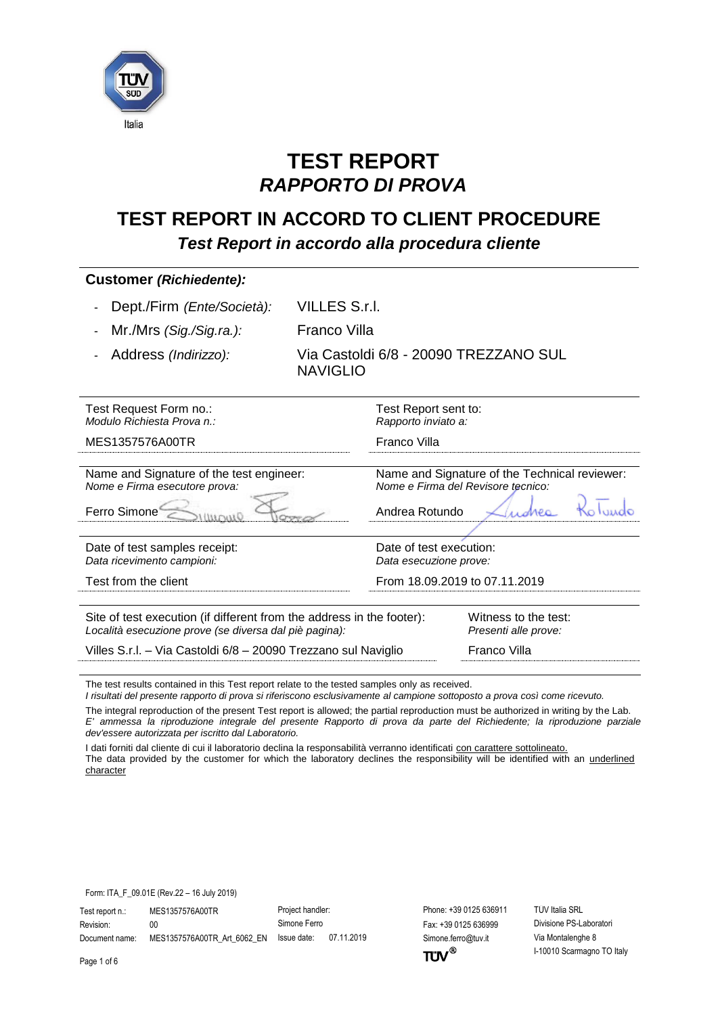

# **TEST REPORT** *RAPPORTO DI PROVA*

## **TEST REPORT IN ACCORD TO CLIENT PROCEDURE** *Test Report in accordo alla procedura cliente*

| <b>Customer (Richiedente):</b>                                                                                                  |                                                          |                                                                                     |  |
|---------------------------------------------------------------------------------------------------------------------------------|----------------------------------------------------------|-------------------------------------------------------------------------------------|--|
| Dept./Firm (Ente/Società):                                                                                                      | <b>VILLES S.r.I.</b>                                     |                                                                                     |  |
| Mr./Mrs (Sig./Sig.ra.):                                                                                                         | <b>Franco Villa</b>                                      |                                                                                     |  |
| Address (Indirizzo):                                                                                                            | Via Castoldi 6/8 - 20090 TREZZANO SUL<br><b>NAVIGLIO</b> |                                                                                     |  |
| Test Request Form no.:<br>Modulo Richiesta Prova n.:                                                                            | Test Report sent to:<br>Rapporto inviato a:              |                                                                                     |  |
| MES1357576A00TR                                                                                                                 | Franco Villa                                             |                                                                                     |  |
| Name and Signature of the test engineer:<br>Nome e Firma esecutore prova:<br>Ferro Simone                                       | Andrea Rotundo                                           | Name and Signature of the Technical reviewer:<br>Nome e Firma del Revisore tecnico: |  |
| Date of test samples receipt:<br>Data ricevimento campioni:                                                                     |                                                          | Date of test execution:<br>Data esecuzione prove:                                   |  |
| Test from the client                                                                                                            |                                                          | From 18.09.2019 to 07.11.2019                                                       |  |
| Site of test execution (if different from the address in the footer):<br>Località esecuzione prove (se diversa dal piè pagina): |                                                          | Witness to the test:<br>Presenti alle prove:                                        |  |
| Villes S.r.l. - Via Castoldi 6/8 - 20090 Trezzano sul Naviglio                                                                  |                                                          | Franco Villa                                                                        |  |
| The test results contained in this Test report relate to the tested samples only as received                                    |                                                          |                                                                                     |  |

The test results contained in this Test report relate to the tested samples only as received.

*I risultati del presente rapporto di prova si riferiscono esclusivamente al campione sottoposto a prova così come ricevuto.*

The integral reproduction of the present Test report is allowed; the partial reproduction must be authorized in writing by the Lab. *E' ammessa la riproduzione integrale del presente Rapporto di prova da parte del Richiedente; la riproduzione parziale dev'essere autorizzata per iscritto dal Laboratorio.*

I dati forniti dal cliente di cui il laboratorio declina la responsabilità verranno identificati con carattere sottolineato. The data provided by the customer for which the laboratory declines the responsibility will be identified with an underlined character

Form: ITA\_F\_09.01E (Rev.22 – 16 July 2019)

Test report n.: MES1357576A00TR Project handler: Phone: +39 0125 636911 TÜV Italia SRL Revision: 00 00 Simone Ferro Fax: +39 0125 636999 Divisione PS-Laboratori Document name: MES1357576A00TR\_Art\_6062\_EN Issue date: 07.11.2019 Simone.ferro@tuv.it Via Montalenghe 8

 $TUV^{\circledast}$ 

I-10010 Scarmagno TO Italy

Page 1 of 6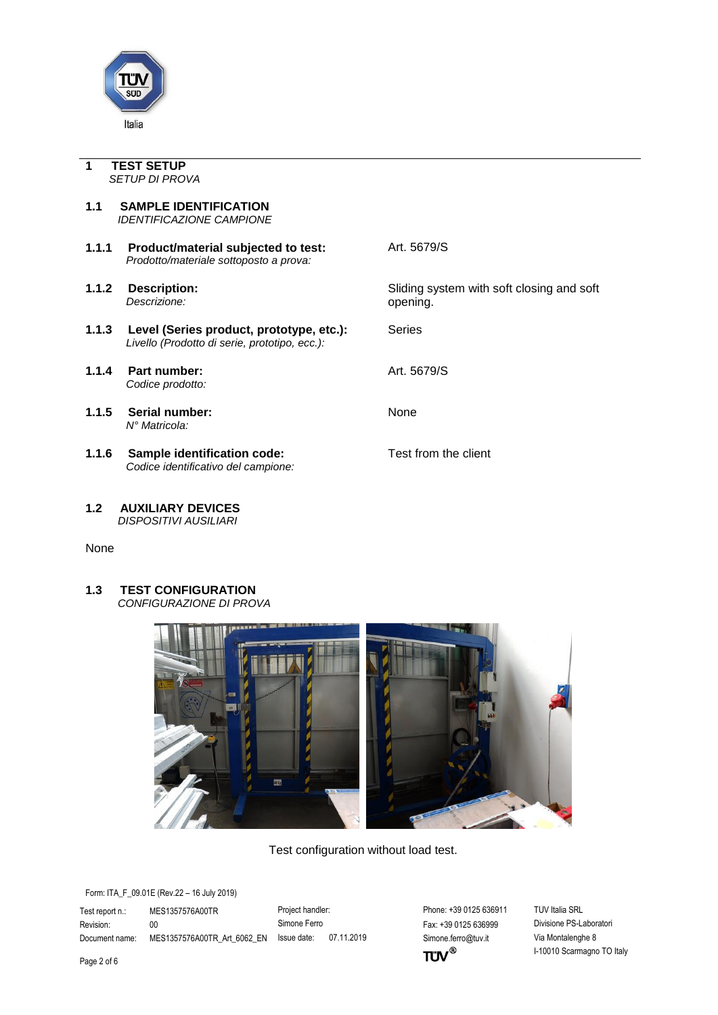

<span id="page-1-0"></span>**1 TEST SETUP** *SETUP DI PROVA*

- <span id="page-1-1"></span>**1.1 SAMPLE IDENTIFICATION** *IDENTIFICAZIONE CAMPIONE*
- **1.1.1 Product/material subjected to test:** Art. 5679/S *Prodotto/materiale sottoposto a prova:*
- 
- 1.1.3 Level (Series product, prototype, etc.): Series *Livello (Prodotto di serie, prototipo, ecc.):*
- **1.1.4 Part number:** Art. 5679/S *Codice prodotto:*
- **1.1.5 Serial number:** None *N° Matricola:*
- **1.1.6** Sample identification code: Test from the client *Codice identificativo del campione:*

**1.1.2 Description:** Sliding system with soft closing and soft Descrizione: *Descrizione:* opening.

<span id="page-1-2"></span>**1.2 AUXILIARY DEVICES** *DISPOSITIVI AUSILIARI*

None

<span id="page-1-3"></span>**1.3 TEST CONFIGURATION** *CONFIGURAZIONE DI PROVA*



Test configuration without load test.

Form: ITA\_F\_09.01E (Rev.22 – 16 July 2019)

Test report n.: MES1357576A00TR Project handler: Phone: +39 0125 636911 TÜV Italia SRL Revision: 00 00 Simone Ferro Fax: +39 0125 636999 Divisione PS-Laboratori

Document name: MES1357576A00TR\_Art\_6062\_EN Issue date: 07.11.2019 Simone.ferro@tuv.it Via Montalenghe 8  $TUV^{\circledast}$ 

I-10010 Scarmagno TO Italy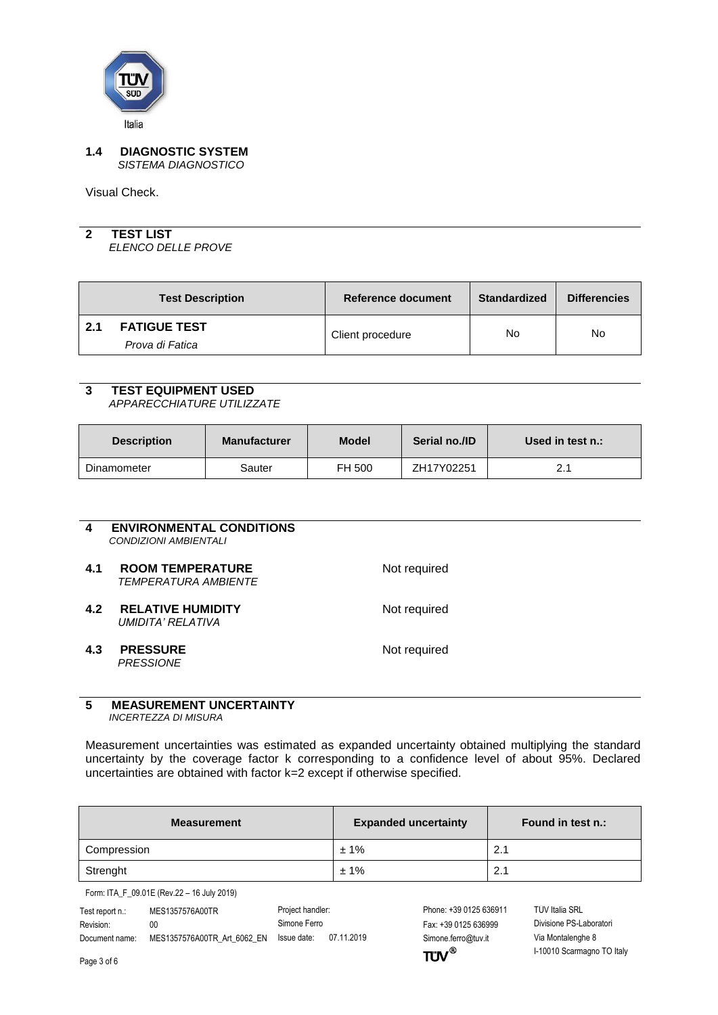

#### <span id="page-2-0"></span>**1.4 DIAGNOSTIC SYSTEM** *SISTEMA DIAGNOSTICO*

Visual Check.

# <span id="page-2-1"></span>**2 TEST LIST**

*ELENCO DELLE PROVE*

<span id="page-2-2"></span>

|     | <b>Test Description</b>                | Reference document | <b>Standardized</b> | <b>Differencies</b> |
|-----|----------------------------------------|--------------------|---------------------|---------------------|
| 2.1 | <b>FATIGUE TEST</b><br>Prova di Fatica | Client procedure   | No                  | No                  |
|     |                                        |                    |                     |                     |

## <span id="page-2-3"></span>**3 TEST EQUIPMENT USED**

*APPARECCHIATURE UTILIZZATE*

| <b>Description</b> | <b>Manufacturer</b> | <b>Model</b> | Serial no./ID | Used in test n.: |
|--------------------|---------------------|--------------|---------------|------------------|
| Dinamometer        | Sauter              | FH 500       | ZH17Y02251    | ົາ 1<br><u>.</u> |

<span id="page-2-6"></span><span id="page-2-5"></span><span id="page-2-4"></span>

| 4   | <b>ENVIRONMENTAL CONDITIONS</b><br>CONDIZIONI AMBIENTALI      |              |
|-----|---------------------------------------------------------------|--------------|
| 4.1 | <b>ROOM TEMPERATURE</b><br><i><b>TEMPERATURA AMBIENTE</b></i> | Not required |
| 4.2 | <b>RELATIVE HUMIDITY</b><br>UMIDITA' RELATIVA                 | Not required |
| 4.3 | <b>PRESSURE</b><br><b>PRESSIONE</b>                           | Not required |
|     |                                                               |              |
| Е   | <b>MEACHDEMENT HIMCEDTAINTV</b>                               |              |

#### <span id="page-2-8"></span><span id="page-2-7"></span>**5 MEASUREMENT UNCERTAINTY** *INCERTEZZA DI MISURA*

Measurement uncertainties was estimated as expanded uncertainty obtained multiplying the standard uncertainty by the coverage factor k corresponding to a confidence level of about 95%. Declared uncertainties are obtained with factor k=2 except if otherwise specified.

| <b>Measurement</b> | <b>Expanded uncertainty</b> | Found in test n.: |
|--------------------|-----------------------------|-------------------|
| Compression        | ±1%                         | 2.1               |
| Strenght           | ±1%                         | 2.1               |

Form: ITA\_F\_09.01E (Rev.22 – 16 July 2019)

| Test report n.: | MES1357576A00TR             | Project handler: |            |
|-----------------|-----------------------------|------------------|------------|
| Revision:       | 00                          | Simone Ferro     |            |
| Document name:  | MES1357576A00TR Art 6062 EN | Issue date:      | 07.11.2019 |

Simone.ferro@tuv.it Via Montalenghe 8  $TUV$ <sup>®</sup>

Phone: +39 0125 636911 TÜV Italia SRL Fax: +39 0125 636999 Divisione PS-Laboratori I-10010 Scarmagno TO Italy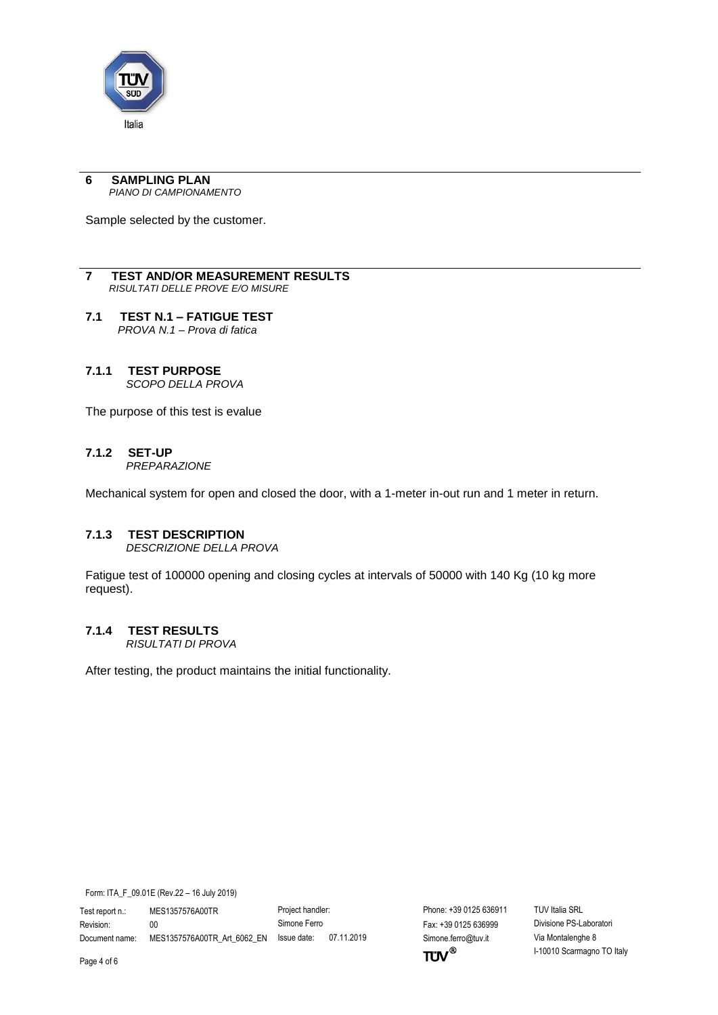

#### <span id="page-3-0"></span>**6 SAMPLING PLAN** *PIANO DI CAMPIONAMENTO*

Sample selected by the customer.

#### <span id="page-3-1"></span>**7 TEST AND/OR MEASUREMENT RESULTS** *RISULTATI DELLE PROVE E/O MISURE*

- <span id="page-3-2"></span>**7.1 TEST N.1 – FATIGUE TEST** *PROVA N.1 – Prova di fatica*
- <span id="page-3-3"></span>**7.1.1 TEST PURPOSE** *SCOPO DELLA PROVA*

The purpose of this test is evalue

### <span id="page-3-4"></span>**7.1.2 SET-UP**

*PREPARAZIONE* 

Mechanical system for open and closed the door, with a 1-meter in-out run and 1 meter in return.

#### <span id="page-3-5"></span>**7.1.3 TEST DESCRIPTION**

*DESCRIZIONE DELLA PROVA* 

Fatigue test of 100000 opening and closing cycles at intervals of 50000 with 140 Kg (10 kg more request).

### <span id="page-3-6"></span>**7.1.4 TEST RESULTS**

*RISULTATI DI PROVA* 

After testing, the product maintains the initial functionality.

Form: ITA\_F\_09.01E (Rev.22 – 16 July 2019)

Test report n.: MES1357576A00TR Project handler: Phone: +39 0125 636911 TÜV Italia SRL Revision: 00 00 Simone Ferro Fax: +39 0125 636999 Divisione PS-Laboratori Document name: MES1357576A00TR\_Art\_6062\_EN Issue date: 07.11.2019 Simone.ferro@tuv.it Via Montalenghe 8

 $TUV^{\circledast}$ 

I-10010 Scarmagno TO Italy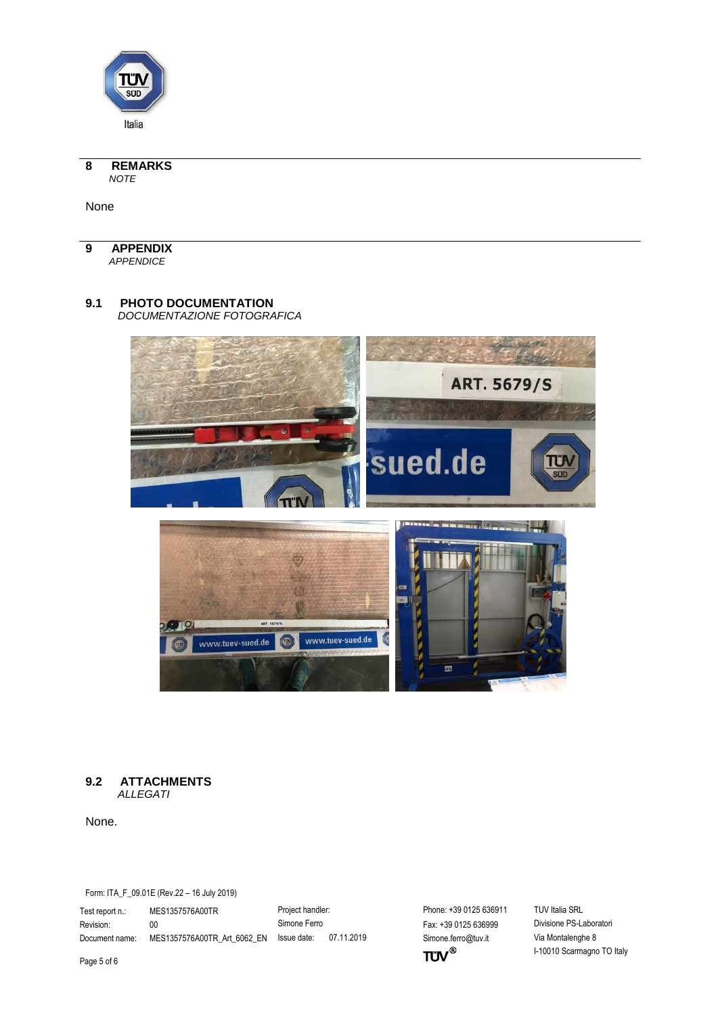

<span id="page-4-0"></span>**8 REMARKS** *NOTE*

None

<span id="page-4-1"></span>**9 APPENDIX** *APPENDICE*

## <span id="page-4-2"></span>**9.1 PHOTO DOCUMENTATION**

*DOCUMENTAZIONE FOTOGRAFICA*



#### <span id="page-4-3"></span>**9.2 ATTACHMENTS**  *ALLEGATI*

None.

Form: ITA\_F\_09.01E (Rev.22 – 16 July 2019)

Test report n.: MES1357576A00TR Project handler: Phone: +39 0125 636911 TÜV Italia SRL Revision: 00 00 Simone Ferro Fax: +39 0125 636999 Divisione PS-Laboratori

Document name: MES1357576A00TR\_Art\_6062\_EN Issue date: 07.11.2019 Simone.ferro@tuv.it Via Montalenghe 8<br>Page 5 of 6 l-10010 Scarmagno

I-10010 Scarmagno TO Italy

Page 5 of 6